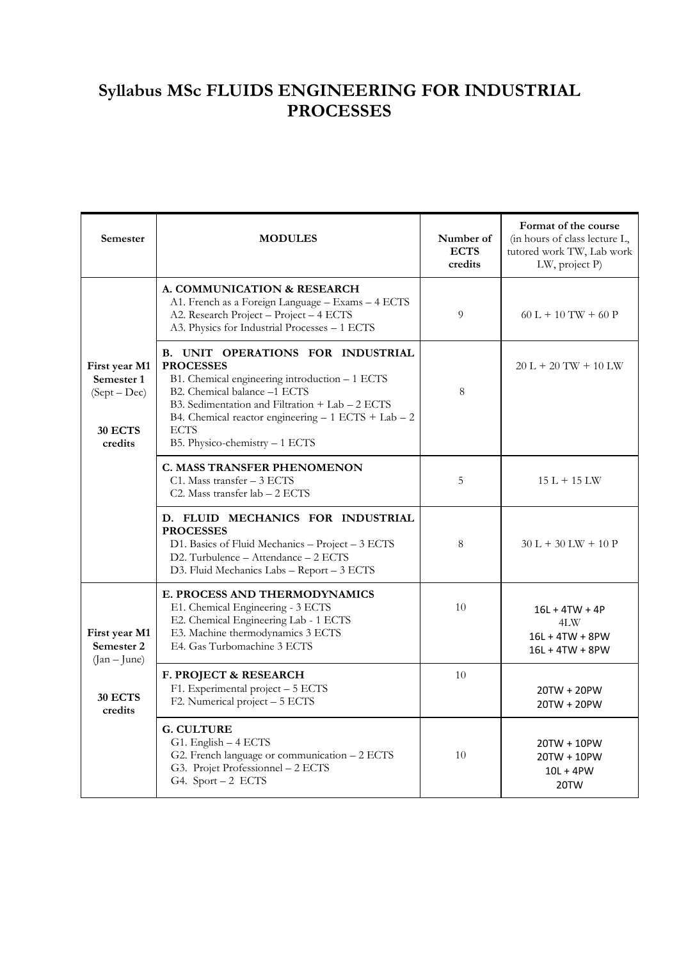## **Syllabus MSc FLUIDS ENGINEERING FOR INDUSTRIAL PROCESSES**

| Semester                                                            | <b>MODULES</b>                                                                                                                                                                                                                                                                                                  | Number of<br><b>ECTS</b><br>credits | Format of the course<br>(in hours of class lecture L,<br>tutored work TW, Lab work<br>LW, project P) |
|---------------------------------------------------------------------|-----------------------------------------------------------------------------------------------------------------------------------------------------------------------------------------------------------------------------------------------------------------------------------------------------------------|-------------------------------------|------------------------------------------------------------------------------------------------------|
| First year M1<br>Semester 1<br>$(Sept-Dec)$<br>30 ECTS<br>credits   | A. COMMUNICATION & RESEARCH<br>A1. French as a Foreign Language - Exams - 4 ECTS<br>A2. Research Project - Project - 4 ECTS<br>A3. Physics for Industrial Processes - 1 ECTS                                                                                                                                    | 9                                   | $60 L + 10 TW + 60 P$                                                                                |
|                                                                     | <b>B. UNIT OPERATIONS FOR INDUSTRIAL</b><br><b>PROCESSES</b><br>B1. Chemical engineering introduction - 1 ECTS<br>B2. Chemical balance -1 ECTS<br>B3. Sedimentation and Filtration $+$ Lab $-$ 2 ECTS<br>B4. Chemical reactor engineering $-1$ ECTS + Lab $-2$<br><b>ECTS</b><br>B5. Physico-chemistry - 1 ECTS | 8                                   | $20 L + 20 TW + 10 LW$                                                                               |
|                                                                     | <b>C. MASS TRANSFER PHENOMENON</b><br>$C1.$ Mass transfer $-3$ ECTS<br>C2. Mass transfer $lab - 2$ ECTS                                                                                                                                                                                                         | 5                                   | $15 L + 15 LW$                                                                                       |
|                                                                     | D. FLUID MECHANICS FOR INDUSTRIAL<br><b>PROCESSES</b><br>D1. Basics of Fluid Mechanics - Project - 3 ECTS<br>D2. Turbulence - Attendance - 2 ECTS<br>D3. Fluid Mechanics Labs - Report - 3 ECTS                                                                                                                 | 8                                   | $30 L + 30 LW + 10 P$                                                                                |
| First year M1<br>Semester 2<br>$(Jan - June)$<br>30 ECTS<br>credits | E. PROCESS AND THERMODYNAMICS<br>E1. Chemical Engineering - 3 ECTS<br>E2. Chemical Engineering Lab - 1 ECTS<br>E3. Machine thermodynamics 3 ECTS<br>E4. Gas Turbomachine 3 ECTS                                                                                                                                 | 10                                  | $16L + 4TW + 4P$<br>4LW<br>$16L + 4TW + 8PW$<br>$16L + 4TW + 8PW$                                    |
|                                                                     | F. PROJECT & RESEARCH<br>F1. Experimental project - 5 ECTS<br>F2. Numerical project - 5 ECTS                                                                                                                                                                                                                    | 10                                  | 20TW + 20PW<br>20TW + 20PW                                                                           |
|                                                                     | <b>G. CULTURE</b><br>G1. English - 4 ECTS<br>G2. French language or communication - 2 ECTS<br>G3. Projet Professionnel - 2 ECTS<br>G4. Sport - 2 ECTS                                                                                                                                                           | 10                                  | 20TW + 10PW<br>20TW + 10PW<br>$10L + 4PW$<br>20TW                                                    |